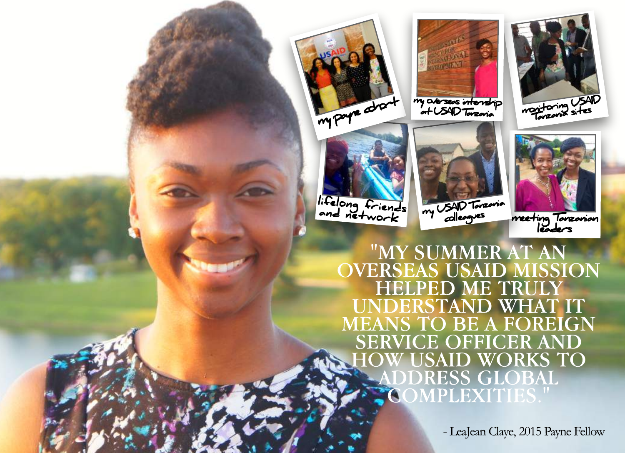

lifelong friends and network



my overseas internship<br>at USAID Tanzania



meet ing Tanzanian leader s

"MY SUMMER AT AN OVERSEAS USAID MISSION HELPED ME TRULY UNDERSTAND WHAT IT MEANSTO BE A FOREIGN SERVICE OFFICER AND **SAID WORKS TO** DDRESS GLOBAL COMPLEXITIES."

my USAID Tanzania colleagues

- LeaJean Claye, 2015 Payne Fellow